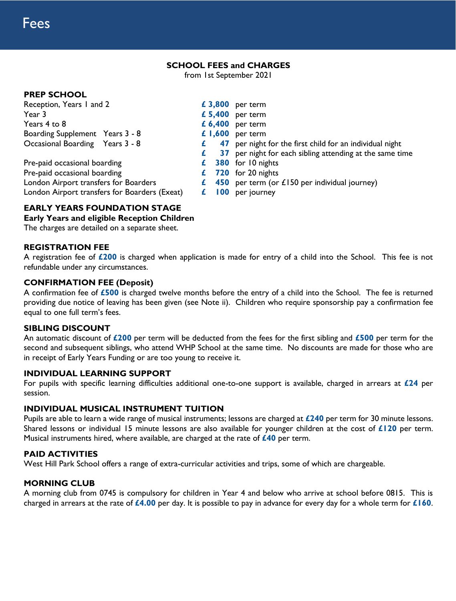## **SCHOOL FEES and CHARGES**

from 1st September 2021

## **PREP SCHOOL**

| Reception, Years I and 2                      | £ 3,800 per term                                              |
|-----------------------------------------------|---------------------------------------------------------------|
| Year 3                                        | $£ 5,400$ per term                                            |
| Years 4 to 8                                  | $£ 6,400$ per term                                            |
| Boarding Supplement Years 3 - 8               | $£ 1,600$ per term                                            |
| Occasional Boarding Years 3 - 8               | 47 per night for the first child for an individual night<br>£ |
|                                               | 37 per night for each sibling attending at the same time<br>£ |
| Pre-paid occasional boarding                  | 380 for 10 nights<br>£                                        |
| Pre-paid occasional boarding                  | $£$ 720 for 20 nights                                         |
| London Airport transfers for Boarders         | $\epsilon$ 450 per term (or £150 per individual journey)      |
| London Airport transfers for Boarders (Exeat) | per journey<br>100<br>ź.                                      |

# **EARLY YEARS FOUNDATION STAGE**

## **Early Years and eligible Reception Children**

The charges are detailed on a separate sheet.

## **REGISTRATION FEE**

A registration fee of **£200** is charged when application is made for entry of a child into the School. This fee is not refundable under any circumstances.

## **CONFIRMATION FEE (Deposit)**

A confirmation fee of **£500** is charged twelve months before the entry of a child into the School. The fee is returned providing due notice of leaving has been given (see Note ii). Children who require sponsorship pay a confirmation fee equal to one full term's fees.

### **SIBLING DISCOUNT**

An automatic discount of **£200** per term will be deducted from the fees for the first sibling and **£500** per term for the second and subsequent siblings, who attend WHP School at the same time. No discounts are made for those who are in receipt of Early Years Funding or are too young to receive it.

### **INDIVIDUAL LEARNING SUPPORT**

For pupils with specific learning difficulties additional one-to-one support is available, charged in arrears at **£24** per session.

### **INDIVIDUAL MUSICAL INSTRUMENT TUITION**

Pupils are able to learn a wide range of musical instruments; lessons are charged at **£240** per term for 30 minute lessons. Shared lessons or individual 15 minute lessons are also available for younger children at the cost of **£120** per term. Musical instruments hired, where available, are charged at the rate of **£40** per term.

## **PAID ACTIVITIES**

West Hill Park School offers a range of extra-curricular activities and trips, some of which are chargeable.

### **MORNING CLUB**

A morning club from 0745 is compulsory for children in Year 4 and below who arrive at school before 0815. This is charged in arrears at the rate of **£4.00** per day. It is possible to pay in advance for every day for a whole term for **£160**.